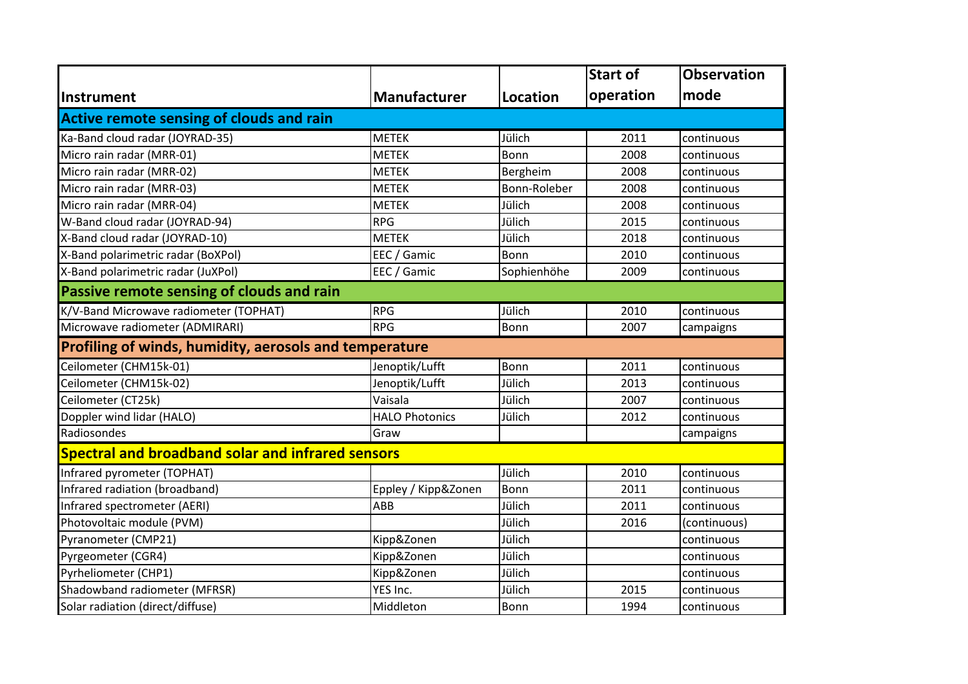|                                                          |                       |              | <b>Start of</b> | <b>Observation</b> |  |  |  |
|----------------------------------------------------------|-----------------------|--------------|-----------------|--------------------|--|--|--|
| <b>Instrument</b>                                        | <b>Manufacturer</b>   | Location     | operation       | mode               |  |  |  |
| <b>Active remote sensing of clouds and rain</b>          |                       |              |                 |                    |  |  |  |
| Ka-Band cloud radar (JOYRAD-35)                          | <b>METEK</b>          | Jülich       | 2011            | continuous         |  |  |  |
| Micro rain radar (MRR-01)                                | <b>METEK</b>          | Bonn         | 2008            | continuous         |  |  |  |
| Micro rain radar (MRR-02)                                | <b>METEK</b>          | Bergheim     | 2008            | continuous         |  |  |  |
| Micro rain radar (MRR-03)                                | <b>METEK</b>          | Bonn-Roleber | 2008            | continuous         |  |  |  |
| Micro rain radar (MRR-04)                                | <b>METEK</b>          | Jülich       | 2008            | continuous         |  |  |  |
| W-Band cloud radar (JOYRAD-94)                           | <b>RPG</b>            | Jülich       | 2015            | continuous         |  |  |  |
| X-Band cloud radar (JOYRAD-10)                           | <b>METEK</b>          | Jülich       | 2018            | continuous         |  |  |  |
| X-Band polarimetric radar (BoXPol)                       | EEC / Gamic           | Bonn         | 2010            | continuous         |  |  |  |
| X-Band polarimetric radar (JuXPol)                       | EEC / Gamic           | Sophienhöhe  | 2009            | continuous         |  |  |  |
| Passive remote sensing of clouds and rain                |                       |              |                 |                    |  |  |  |
| K/V-Band Microwave radiometer (TOPHAT)                   | <b>RPG</b>            | Jülich       | 2010            | continuous         |  |  |  |
| Microwave radiometer (ADMIRARI)                          | <b>RPG</b>            | Bonn         | 2007            | campaigns          |  |  |  |
| Profiling of winds, humidity, aerosols and temperature   |                       |              |                 |                    |  |  |  |
| Ceilometer (CHM15k-01)                                   | Jenoptik/Lufft        | Bonn         | 2011            | continuous         |  |  |  |
| Ceilometer (CHM15k-02)                                   | Jenoptik/Lufft        | Jülich       | 2013            | continuous         |  |  |  |
| Ceilometer (CT25k)                                       | Vaisala               | Jülich       | 2007            | continuous         |  |  |  |
| Doppler wind lidar (HALO)                                | <b>HALO Photonics</b> | Jülich       | 2012            | continuous         |  |  |  |
| Radiosondes                                              | Graw                  |              |                 | campaigns          |  |  |  |
| <b>Spectral and broadband solar and infrared sensors</b> |                       |              |                 |                    |  |  |  |
| Infrared pyrometer (TOPHAT)                              |                       | Jülich       | 2010            | continuous         |  |  |  |
| Infrared radiation (broadband)                           | Eppley / Kipp&Zonen   | Bonn         | 2011            | continuous         |  |  |  |
| Infrared spectrometer (AERI)                             | ABB                   | Jülich       | 2011            | continuous         |  |  |  |
| Photovoltaic module (PVM)                                |                       | Jülich       | 2016            | (continuous)       |  |  |  |
| Pyranometer (CMP21)                                      | Kipp&Zonen            | Jülich       |                 | continuous         |  |  |  |
| Pyrgeometer (CGR4)                                       | Kipp&Zonen            | Jülich       |                 | continuous         |  |  |  |
| Pyrheliometer (CHP1)                                     | Kipp&Zonen            | Jülich       |                 | continuous         |  |  |  |
| Shadowband radiometer (MFRSR)                            | YES Inc.              | Jülich       | 2015            | continuous         |  |  |  |
| Solar radiation (direct/diffuse)                         | Middleton             | Bonn         | 1994            | continuous         |  |  |  |